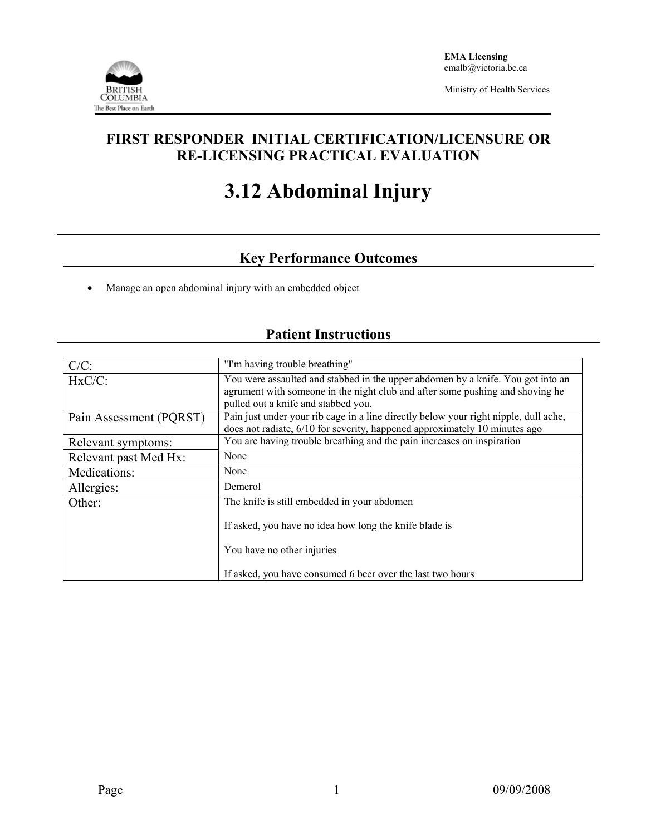

Ministry of Health Services

### **FIRST RESPONDER INITIAL CERTIFICATION/LICENSURE OR RE-LICENSING PRACTICAL EVALUATION**

# **3.12 Abdominal Injury**

## **Key Performance Outcomes**

• Manage an open abdominal injury with an embedded object

| $C/C$ :                 | "I'm having trouble breathing"                                                                                                                                                                          |  |  |  |
|-------------------------|---------------------------------------------------------------------------------------------------------------------------------------------------------------------------------------------------------|--|--|--|
| $HxC/C$ :               | You were assaulted and stabbed in the upper abdomen by a knife. You got into an<br>agrument with someone in the night club and after some pushing and shoving he<br>pulled out a knife and stabbed you. |  |  |  |
| Pain Assessment (PQRST) | Pain just under your rib cage in a line directly below your right nipple, dull ache,<br>does not radiate, 6/10 for severity, happened approximately 10 minutes ago                                      |  |  |  |
| Relevant symptoms:      | You are having trouble breathing and the pain increases on inspiration                                                                                                                                  |  |  |  |
| Relevant past Med Hx:   | None                                                                                                                                                                                                    |  |  |  |
| Medications:            | None                                                                                                                                                                                                    |  |  |  |
| Allergies:              | Demerol                                                                                                                                                                                                 |  |  |  |
| Other:                  | The knife is still embedded in your abdomen                                                                                                                                                             |  |  |  |
|                         | If asked, you have no idea how long the knife blade is                                                                                                                                                  |  |  |  |
|                         | You have no other injuries                                                                                                                                                                              |  |  |  |
|                         | If asked, you have consumed 6 beer over the last two hours                                                                                                                                              |  |  |  |

# **Patient Instructions**